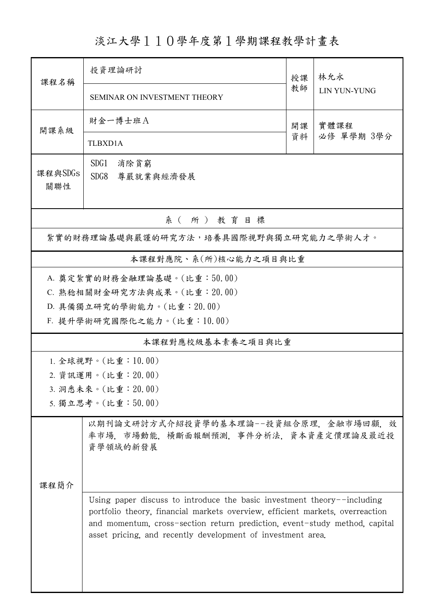淡江大學110學年度第1學期課程教學計畫表

| 課程名稱                                   | 投資理論研討                                                                                                                                                                                                                                                                                                |           | 林允永                |  |  |  |  |
|----------------------------------------|-------------------------------------------------------------------------------------------------------------------------------------------------------------------------------------------------------------------------------------------------------------------------------------------------------|-----------|--------------------|--|--|--|--|
|                                        | SEMINAR ON INVESTMENT THEORY                                                                                                                                                                                                                                                                          | 教師        | LIN YUN-YUNG       |  |  |  |  |
| 開課系級                                   | 財金一博士班A                                                                                                                                                                                                                                                                                               | 開課<br>資料  | 實體課程<br>必修 單學期 3學分 |  |  |  |  |
|                                        | TLBXD1A                                                                                                                                                                                                                                                                                               |           |                    |  |  |  |  |
| 課程與SDGs                                | SDG1<br>消除貧窮                                                                                                                                                                                                                                                                                          |           |                    |  |  |  |  |
| 關聯性                                    | SDG8                                                                                                                                                                                                                                                                                                  | 尊嚴就業與經濟發展 |                    |  |  |  |  |
| 系(所)教育目標                               |                                                                                                                                                                                                                                                                                                       |           |                    |  |  |  |  |
| 紮實的財務理論基礎與嚴謹的研究方法,培養具國際視野與獨立研究能力之學術人才。 |                                                                                                                                                                                                                                                                                                       |           |                    |  |  |  |  |
|                                        | 本課程對應院、系(所)核心能力之項目與比重                                                                                                                                                                                                                                                                                 |           |                    |  |  |  |  |
| A. 奠定紮實的財務金融理論基礎。(比重:50.00)            |                                                                                                                                                                                                                                                                                                       |           |                    |  |  |  |  |
|                                        | C. 熟稔相關財金研究方法與成果。(比重: 20.00)                                                                                                                                                                                                                                                                          |           |                    |  |  |  |  |
|                                        | D. 具備獨立研究的學術能力。(比重: 20.00)                                                                                                                                                                                                                                                                            |           |                    |  |  |  |  |
|                                        | F. 提升學術研究國際化之能力。(比重:10.00)                                                                                                                                                                                                                                                                            |           |                    |  |  |  |  |
|                                        | 本課程對應校級基本素養之項目與比重                                                                                                                                                                                                                                                                                     |           |                    |  |  |  |  |
| 1. 全球視野。(比重:10.00)                     |                                                                                                                                                                                                                                                                                                       |           |                    |  |  |  |  |
|                                        | 2. 資訊運用。(比重: 20.00)                                                                                                                                                                                                                                                                                   |           |                    |  |  |  |  |
| 3. 洞悉未來。(比重: 20.00)                    |                                                                                                                                                                                                                                                                                                       |           |                    |  |  |  |  |
| 5. 獨立思考。(比重:50.00)                     |                                                                                                                                                                                                                                                                                                       |           |                    |  |  |  |  |
|                                        | 以期刊論文研討方式介紹投資學的基本理論--投資組合原理,金融市場回顧,效<br>率市場, 市場動能, 横斷面報酬預測, 事件分析法, 資本資產定價理論及最近投<br>資學領域的新發展                                                                                                                                                                                                           |           |                    |  |  |  |  |
| 课程简介                                   |                                                                                                                                                                                                                                                                                                       |           |                    |  |  |  |  |
|                                        | Using paper discuss to introduce the basic investment theory--including<br>portfolio theory, financial markets overview, efficient markets, overreaction<br>and momentum, cross-section return prediction, event-study method, capital<br>asset pricing, and recently development of investment area. |           |                    |  |  |  |  |
|                                        |                                                                                                                                                                                                                                                                                                       |           |                    |  |  |  |  |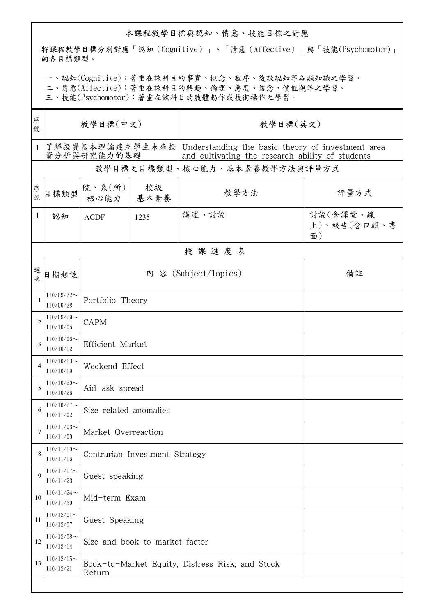## 本課程教學目標與認知、情意、技能目標之對應

將課程教學目標分別對應「認知(Cognitive)」、「情意(Affective)」與「技能(Psychomotor)」 的各目標類型。

一、認知(Cognitive):著重在該科目的事實、概念、程序、後設認知等各類知識之學習。

二、情意(Affective):著重在該科目的興趣、倫理、態度、信念、價值觀等之學習。

三、技能(Psychomotor):著重在該科目的肢體動作或技術操作之學習。

| 序<br>號       | 教學目標(中文)                      |                                                           |            | 教學目標(英文)                                                                                                              |                               |  |  |  |  |
|--------------|-------------------------------|-----------------------------------------------------------|------------|-----------------------------------------------------------------------------------------------------------------------|-------------------------------|--|--|--|--|
| $\mathbf{1}$ | 資分析與研究能力的基礎                   |                                                           |            | 了解投資基本理論建立學生未來投 Understanding the basic theory of investment area<br>and cultivating the research ability of students |                               |  |  |  |  |
|              | 教學目標之目標類型、核心能力、基本素養教學方法與評量方式  |                                                           |            |                                                                                                                       |                               |  |  |  |  |
| 序號           | 目標類型                          | 院、系(所)<br>核心能力                                            | 校級<br>基本素養 | 教學方法                                                                                                                  | 評量方式                          |  |  |  |  |
| $\mathbf{1}$ | 認知                            | <b>ACDF</b>                                               | 1235       | 講述、討論                                                                                                                 | 討論(含課堂、線<br>上)、報告(含口頭、書<br>面) |  |  |  |  |
|              | 授課進度表                         |                                                           |            |                                                                                                                       |                               |  |  |  |  |
| 週次           | 日期起訖                          | 內 容 (Subject/Topics)<br>備註                                |            |                                                                                                                       |                               |  |  |  |  |
| 1            | $110/09/22$ ~<br>110/09/28    | Portfolio Theory                                          |            |                                                                                                                       |                               |  |  |  |  |
| 2            | $110/09/29$ ~<br>110/10/05    | CAPM                                                      |            |                                                                                                                       |                               |  |  |  |  |
| 3            | $110/10/06 \sim$<br>110/10/12 | Efficient Market                                          |            |                                                                                                                       |                               |  |  |  |  |
| 4            | $110/10/13$ ~<br>110/10/19    | Weekend Effect                                            |            |                                                                                                                       |                               |  |  |  |  |
| 5            | $110/10/20$ ~<br>110/10/26    | Aid-ask spread                                            |            |                                                                                                                       |                               |  |  |  |  |
| 6            | $110/10/27$ ~<br>110/11/02    | Size related anomalies                                    |            |                                                                                                                       |                               |  |  |  |  |
| 7            | $110/11/03$ ~<br>110/11/09    | Market Overreaction                                       |            |                                                                                                                       |                               |  |  |  |  |
| 8            | $110/11/10$ ~<br>110/11/16    | Contrarian Investment Strategy                            |            |                                                                                                                       |                               |  |  |  |  |
| 9            | $110/11/17$ ~<br>110/11/23    | Guest speaking                                            |            |                                                                                                                       |                               |  |  |  |  |
| 10           | $110/11/24$ ~<br>110/11/30    | Mid-term Exam                                             |            |                                                                                                                       |                               |  |  |  |  |
| 11           | $110/12/01$ ~<br>110/12/07    | Guest Speaking                                            |            |                                                                                                                       |                               |  |  |  |  |
| 12           | $110/12/08$ ~<br>110/12/14    | Size and book to market factor                            |            |                                                                                                                       |                               |  |  |  |  |
| 13           | $110/12/15$ ~<br>110/12/21    | Book-to-Market Equity, Distress Risk, and Stock<br>Return |            |                                                                                                                       |                               |  |  |  |  |
|              |                               |                                                           |            |                                                                                                                       |                               |  |  |  |  |